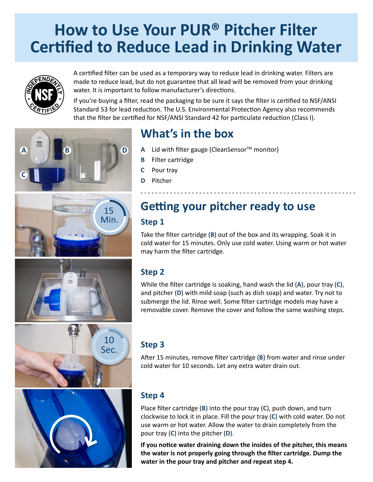# **How to Use Your PUR® Pitcher Filter Certified to Reduce Lead in Drinking Water**



**B D**

Min. 15

**A**

**C**

A certified filter can be used as a temporary way to reduce lead in drinking water. Filters are made to reduce lead, but do not guarantee that all lead will be removed from your drinking water. It is important to follow manufacturer's directions.

If you're buying a filter, read the packaging to be sure it says the filter is certified to NSF/ANSI Standard 53 for lead reduction. The U.S. Environmental Protection Agency also recommends that the filter be certified for NSF/ANSI Standard 42 for particulate reduction (Class I).

### **What's in the box**

- **A** Lid with filter gauge (CleanSensor™ monitor)
- **B** Filter cartridge
- **C** Pour tray
- **D** Pitcher

# **Getting your pitcher ready to use**

#### **Step 1**

Take the filter cartridge (**B**) out of the box and its wrapping. Soak it in cold water for 15 minutes. Only use cold water. Using warm or hot water may harm the filter cartridge.

#### **Step 2**

While the filter cartridge is soaking, hand wash the lid (**A**), pour tray (**C**), and pitcher (**D**) with mild soap (such as dish soap) and water. Try not to submerge the lid. Rinse well. Some filter cartridge models may have a removable cover. Remove the cover and follow the same washing steps.





#### **Step 3**

After 15 minutes, remove filter cartridge (**B**) from water and rinse under cold water for 10 seconds. Let any extra water drain out.

#### **Step 4**

Place filter cartridge (**B**) into the pour tray (**C**), push down, and turn clockwise to lock it in place. Fill the pour tray (**C**) with cold water. Do not use warm or hot water. Allow the water to drain completely from the pour tray (**C**) into the pitcher (**D**).

**If you notice water draining down the insides of the pitcher, this means the water is not properly going through the filter cartridge. Dump the water in the pour tray and pitcher and repeat step 4.**